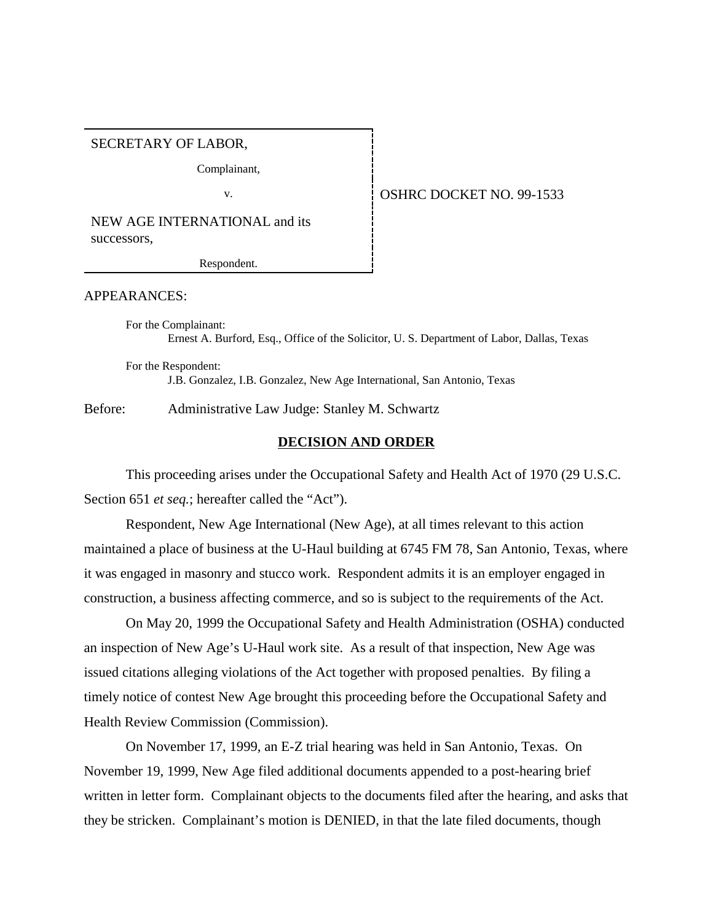## SECRETARY OF LABOR,

Complainant,

v. Same **OSHRC DOCKET NO. 99-1533** 

NEW AGE INTERNATIONAL and its successors,

Respondent.

#### APPEARANCES:

For the Complainant: Ernest A. Burford, Esq., Office of the Solicitor, U. S. Department of Labor, Dallas, Texas

For the Respondent: J.B. Gonzalez, I.B. Gonzalez, New Age International, San Antonio, Texas

Before: Administrative Law Judge: Stanley M. Schwartz

## **DECISION AND ORDER**

This proceeding arises under the Occupational Safety and Health Act of 1970 (29 U.S.C. Section 651 *et seq.*; hereafter called the "Act").

Respondent, New Age International (New Age), at all times relevant to this action maintained a place of business at the U-Haul building at 6745 FM 78, San Antonio, Texas, where it was engaged in masonry and stucco work. Respondent admits it is an employer engaged in construction, a business affecting commerce, and so is subject to the requirements of the Act.

On May 20, 1999 the Occupational Safety and Health Administration (OSHA) conducted an inspection of New Age's U-Haul work site. As a result of that inspection, New Age was issued citations alleging violations of the Act together with proposed penalties. By filing a timely notice of contest New Age brought this proceeding before the Occupational Safety and Health Review Commission (Commission).

On November 17, 1999, an E-Z trial hearing was held in San Antonio, Texas. On November 19, 1999, New Age filed additional documents appended to a post-hearing brief written in letter form. Complainant objects to the documents filed after the hearing, and asks that they be stricken. Complainant's motion is DENIED, in that the late filed documents, though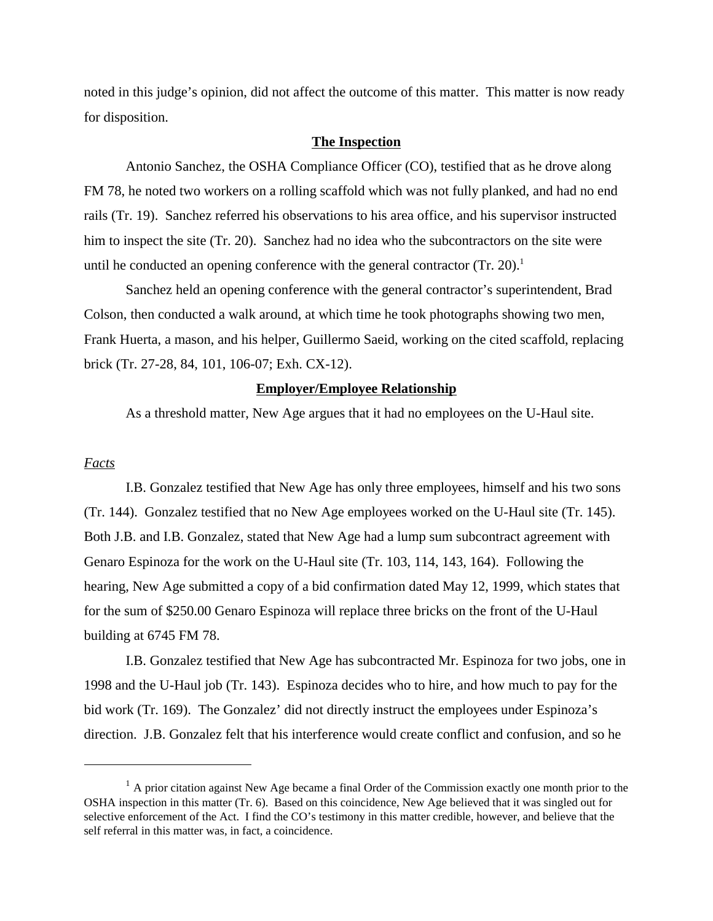noted in this judge's opinion, did not affect the outcome of this matter. This matter is now ready for disposition.

## **The Inspection**

Antonio Sanchez, the OSHA Compliance Officer (CO), testified that as he drove along FM 78, he noted two workers on a rolling scaffold which was not fully planked, and had no end rails (Tr. 19). Sanchez referred his observations to his area office, and his supervisor instructed him to inspect the site (Tr. 20). Sanchez had no idea who the subcontractors on the site were until he conducted an opening conference with the general contractor  $(Tr. 20)^1$ 

Sanchez held an opening conference with the general contractor's superintendent, Brad Colson, then conducted a walk around, at which time he took photographs showing two men, Frank Huerta, a mason, and his helper, Guillermo Saeid, working on the cited scaffold, replacing brick (Tr. 27-28, 84, 101, 106-07; Exh. CX-12).

# **Employer/Employee Relationship**

As a threshold matter, New Age argues that it had no employees on the U-Haul site.

## *Facts*

I.B. Gonzalez testified that New Age has only three employees, himself and his two sons (Tr. 144). Gonzalez testified that no New Age employees worked on the U-Haul site (Tr. 145). Both J.B. and I.B. Gonzalez, stated that New Age had a lump sum subcontract agreement with Genaro Espinoza for the work on the U-Haul site (Tr. 103, 114, 143, 164). Following the hearing, New Age submitted a copy of a bid confirmation dated May 12, 1999, which states that for the sum of \$250.00 Genaro Espinoza will replace three bricks on the front of the U-Haul building at 6745 FM 78.

I.B. Gonzalez testified that New Age has subcontracted Mr. Espinoza for two jobs, one in 1998 and the U-Haul job (Tr. 143). Espinoza decides who to hire, and how much to pay for the bid work (Tr. 169). The Gonzalez' did not directly instruct the employees under Espinoza's direction. J.B. Gonzalez felt that his interference would create conflict and confusion, and so he

 $<sup>1</sup>$  A prior citation against New Age became a final Order of the Commission exactly one month prior to the</sup> OSHA inspection in this matter (Tr. 6). Based on this coincidence, New Age believed that it was singled out for selective enforcement of the Act. I find the CO's testimony in this matter credible, however, and believe that the self referral in this matter was, in fact, a coincidence.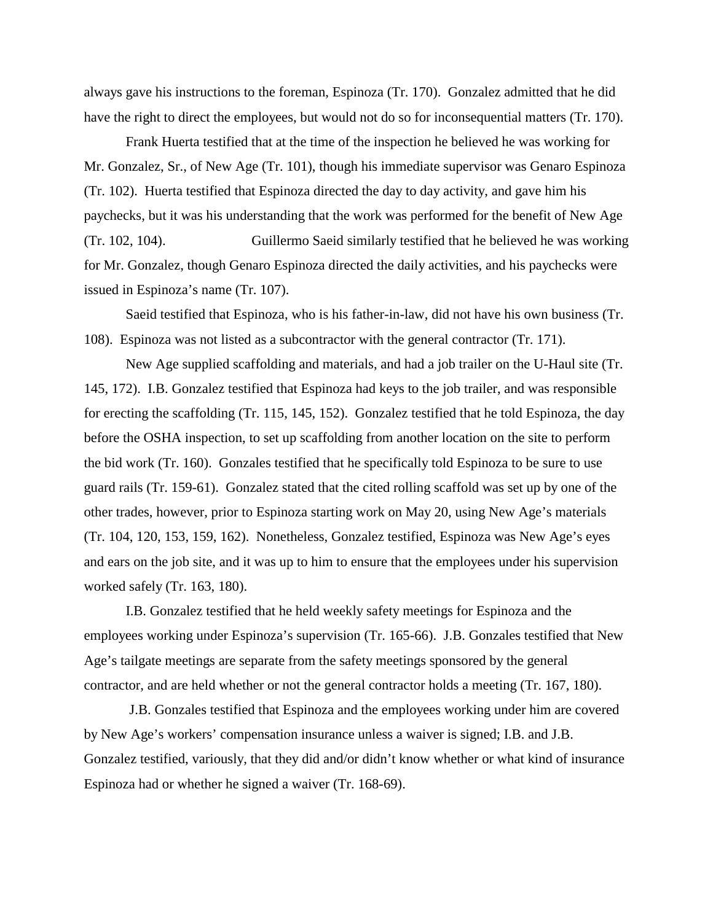always gave his instructions to the foreman, Espinoza (Tr. 170). Gonzalez admitted that he did have the right to direct the employees, but would not do so for inconsequential matters (Tr. 170).

Frank Huerta testified that at the time of the inspection he believed he was working for Mr. Gonzalez, Sr., of New Age (Tr. 101), though his immediate supervisor was Genaro Espinoza (Tr. 102). Huerta testified that Espinoza directed the day to day activity, and gave him his paychecks, but it was his understanding that the work was performed for the benefit of New Age (Tr. 102, 104). Guillermo Saeid similarly testified that he believed he was working for Mr. Gonzalez, though Genaro Espinoza directed the daily activities, and his paychecks were issued in Espinoza's name (Tr. 107).

Saeid testified that Espinoza, who is his father-in-law, did not have his own business (Tr. 108). Espinoza was not listed as a subcontractor with the general contractor (Tr. 171).

New Age supplied scaffolding and materials, and had a job trailer on the U-Haul site (Tr. 145, 172). I.B. Gonzalez testified that Espinoza had keys to the job trailer, and was responsible for erecting the scaffolding (Tr. 115, 145, 152). Gonzalez testified that he told Espinoza, the day before the OSHA inspection, to set up scaffolding from another location on the site to perform the bid work (Tr. 160). Gonzales testified that he specifically told Espinoza to be sure to use guard rails (Tr. 159-61). Gonzalez stated that the cited rolling scaffold was set up by one of the other trades, however, prior to Espinoza starting work on May 20, using New Age's materials (Tr. 104, 120, 153, 159, 162). Nonetheless, Gonzalez testified, Espinoza was New Age's eyes and ears on the job site, and it was up to him to ensure that the employees under his supervision worked safely (Tr. 163, 180).

I.B. Gonzalez testified that he held weekly safety meetings for Espinoza and the employees working under Espinoza's supervision (Tr. 165-66). J.B. Gonzales testified that New Age's tailgate meetings are separate from the safety meetings sponsored by the general contractor, and are held whether or not the general contractor holds a meeting (Tr. 167, 180).

 J.B. Gonzales testified that Espinoza and the employees working under him are covered by New Age's workers' compensation insurance unless a waiver is signed; I.B. and J.B. Gonzalez testified, variously, that they did and/or didn't know whether or what kind of insurance Espinoza had or whether he signed a waiver (Tr. 168-69).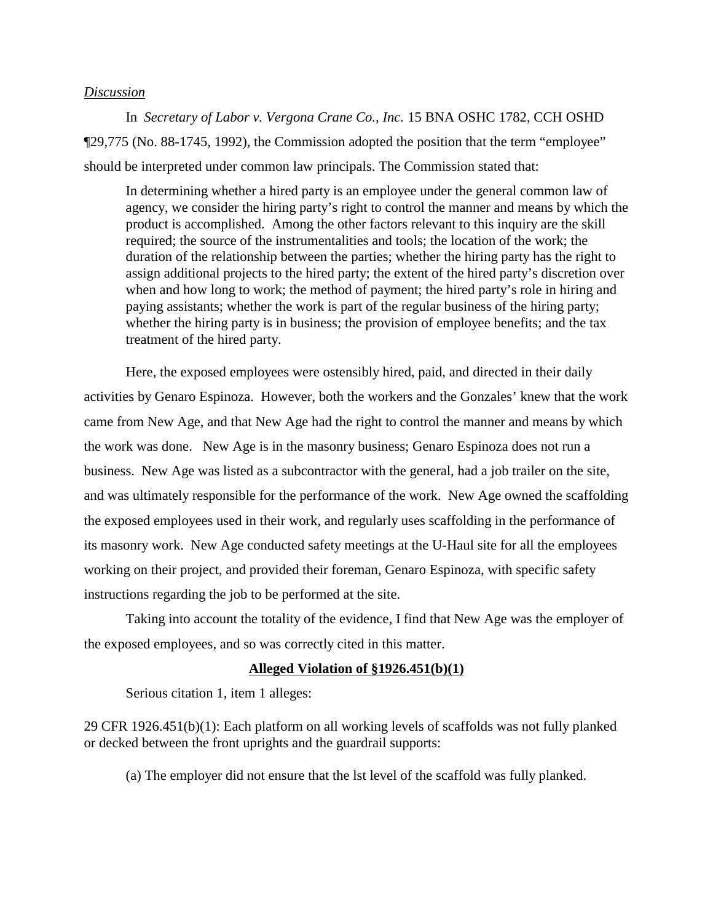## *Discussion*

In *Secretary of Labor v. Vergona Crane Co., Inc.* 15 BNA OSHC 1782, CCH OSHD ¶29,775 (No. 88-1745, 1992), the Commission adopted the position that the term "employee" should be interpreted under common law principals. The Commission stated that:

In determining whether a hired party is an employee under the general common law of agency, we consider the hiring party's right to control the manner and means by which the product is accomplished. Among the other factors relevant to this inquiry are the skill required; the source of the instrumentalities and tools; the location of the work; the duration of the relationship between the parties; whether the hiring party has the right to assign additional projects to the hired party; the extent of the hired party's discretion over when and how long to work; the method of payment; the hired party's role in hiring and paying assistants; whether the work is part of the regular business of the hiring party; whether the hiring party is in business; the provision of employee benefits; and the tax treatment of the hired party.

Here, the exposed employees were ostensibly hired, paid, and directed in their daily activities by Genaro Espinoza. However, both the workers and the Gonzales' knew that the work came from New Age, and that New Age had the right to control the manner and means by which the work was done. New Age is in the masonry business; Genaro Espinoza does not run a business. New Age was listed as a subcontractor with the general, had a job trailer on the site, and was ultimately responsible for the performance of the work. New Age owned the scaffolding the exposed employees used in their work, and regularly uses scaffolding in the performance of its masonry work. New Age conducted safety meetings at the U-Haul site for all the employees working on their project, and provided their foreman, Genaro Espinoza, with specific safety instructions regarding the job to be performed at the site.

Taking into account the totality of the evidence, I find that New Age was the employer of the exposed employees, and so was correctly cited in this matter.

## **Alleged Violation of §1926.451(b)(1)**

Serious citation 1, item 1 alleges:

29 CFR 1926.451(b)(1): Each platform on all working levels of scaffolds was not fully planked or decked between the front uprights and the guardrail supports:

(a) The employer did not ensure that the lst level of the scaffold was fully planked.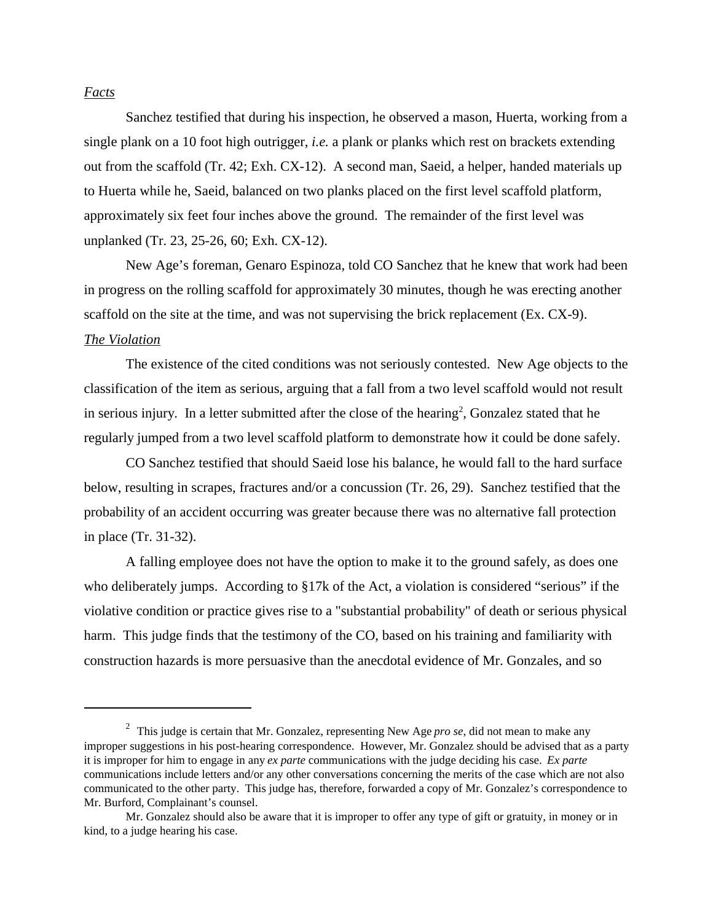## *Facts*

Sanchez testified that during his inspection, he observed a mason, Huerta, working from a single plank on a 10 foot high outrigger, *i.e.* a plank or planks which rest on brackets extending out from the scaffold (Tr. 42; Exh. CX-12). A second man, Saeid, a helper, handed materials up to Huerta while he, Saeid, balanced on two planks placed on the first level scaffold platform, approximately six feet four inches above the ground. The remainder of the first level was unplanked (Tr. 23, 25-26, 60; Exh. CX-12).

New Age's foreman, Genaro Espinoza, told CO Sanchez that he knew that work had been in progress on the rolling scaffold for approximately 30 minutes, though he was erecting another scaffold on the site at the time, and was not supervising the brick replacement (Ex. CX-9). *The Violation*

The existence of the cited conditions was not seriously contested. New Age objects to the classification of the item as serious, arguing that a fall from a two level scaffold would not result in serious injury. In a letter submitted after the close of the hearing<sup>2</sup>, Gonzalez stated that he regularly jumped from a two level scaffold platform to demonstrate how it could be done safely.

CO Sanchez testified that should Saeid lose his balance, he would fall to the hard surface below, resulting in scrapes, fractures and/or a concussion (Tr. 26, 29). Sanchez testified that the probability of an accident occurring was greater because there was no alternative fall protection in place (Tr. 31-32).

A falling employee does not have the option to make it to the ground safely, as does one who deliberately jumps. According to §17k of the Act, a violation is considered "serious" if the violative condition or practice gives rise to a "substantial probability" of death or serious physical harm. This judge finds that the testimony of the CO, based on his training and familiarity with construction hazards is more persuasive than the anecdotal evidence of Mr. Gonzales, and so

<sup>2</sup> This judge is certain that Mr. Gonzalez, representing New Age *pro se*, did not mean to make any improper suggestions in his post-hearing correspondence. However, Mr. Gonzalez should be advised that as a party it is improper for him to engage in any *ex parte* communications with the judge deciding his case. *Ex parte* communications include letters and/or any other conversations concerning the merits of the case which are not also communicated to the other party. This judge has, therefore, forwarded a copy of Mr. Gonzalez's correspondence to Mr. Burford, Complainant's counsel.

Mr. Gonzalez should also be aware that it is improper to offer any type of gift or gratuity, in money or in kind, to a judge hearing his case.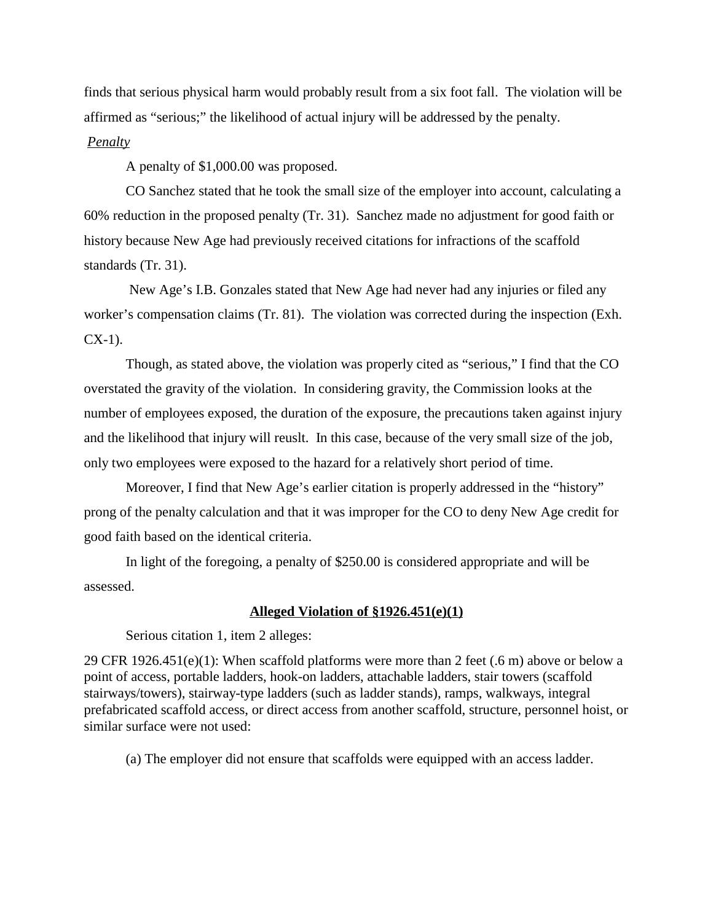finds that serious physical harm would probably result from a six foot fall. The violation will be affirmed as "serious;" the likelihood of actual injury will be addressed by the penalty.

## *Penalty*

A penalty of \$1,000.00 was proposed.

CO Sanchez stated that he took the small size of the employer into account, calculating a 60% reduction in the proposed penalty (Tr. 31). Sanchez made no adjustment for good faith or history because New Age had previously received citations for infractions of the scaffold standards (Tr. 31).

 New Age's I.B. Gonzales stated that New Age had never had any injuries or filed any worker's compensation claims (Tr. 81). The violation was corrected during the inspection (Exh. CX-1).

Though, as stated above, the violation was properly cited as "serious," I find that the CO overstated the gravity of the violation. In considering gravity, the Commission looks at the number of employees exposed, the duration of the exposure, the precautions taken against injury and the likelihood that injury will reuslt. In this case, because of the very small size of the job, only two employees were exposed to the hazard for a relatively short period of time.

Moreover, I find that New Age's earlier citation is properly addressed in the "history" prong of the penalty calculation and that it was improper for the CO to deny New Age credit for good faith based on the identical criteria.

In light of the foregoing, a penalty of \$250.00 is considered appropriate and will be assessed.

#### **Alleged Violation of §1926.451(e)(1)**

Serious citation 1, item 2 alleges:

29 CFR 1926.451(e)(1): When scaffold platforms were more than 2 feet (.6 m) above or below a point of access, portable ladders, hook-on ladders, attachable ladders, stair towers (scaffold stairways/towers), stairway-type ladders (such as ladder stands), ramps, walkways, integral prefabricated scaffold access, or direct access from another scaffold, structure, personnel hoist, or similar surface were not used:

(a) The employer did not ensure that scaffolds were equipped with an access ladder.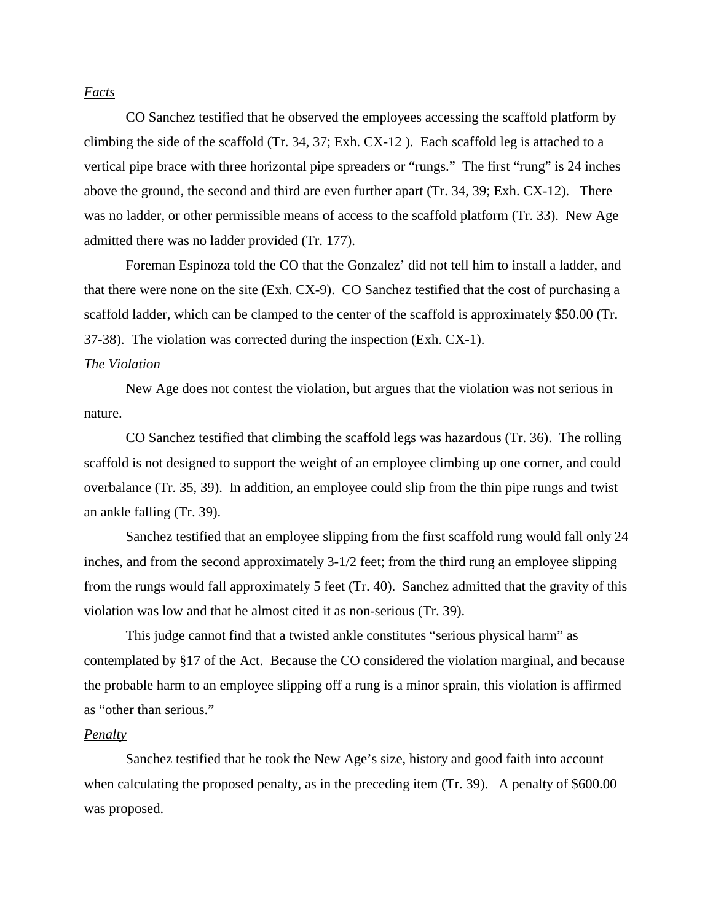## *Facts*

CO Sanchez testified that he observed the employees accessing the scaffold platform by climbing the side of the scaffold (Tr. 34, 37; Exh. CX-12 ). Each scaffold leg is attached to a vertical pipe brace with three horizontal pipe spreaders or "rungs." The first "rung" is 24 inches above the ground, the second and third are even further apart (Tr. 34, 39; Exh. CX-12). There was no ladder, or other permissible means of access to the scaffold platform (Tr. 33). New Age admitted there was no ladder provided (Tr. 177).

Foreman Espinoza told the CO that the Gonzalez' did not tell him to install a ladder, and that there were none on the site (Exh. CX-9). CO Sanchez testified that the cost of purchasing a scaffold ladder, which can be clamped to the center of the scaffold is approximately \$50.00 (Tr. 37-38). The violation was corrected during the inspection (Exh. CX-1).

## *The Violation*

New Age does not contest the violation, but argues that the violation was not serious in nature.

CO Sanchez testified that climbing the scaffold legs was hazardous (Tr. 36). The rolling scaffold is not designed to support the weight of an employee climbing up one corner, and could overbalance (Tr. 35, 39). In addition, an employee could slip from the thin pipe rungs and twist an ankle falling (Tr. 39).

Sanchez testified that an employee slipping from the first scaffold rung would fall only 24 inches, and from the second approximately 3-1/2 feet; from the third rung an employee slipping from the rungs would fall approximately 5 feet (Tr. 40). Sanchez admitted that the gravity of this violation was low and that he almost cited it as non-serious (Tr. 39).

This judge cannot find that a twisted ankle constitutes "serious physical harm" as contemplated by §17 of the Act. Because the CO considered the violation marginal, and because the probable harm to an employee slipping off a rung is a minor sprain, this violation is affirmed as "other than serious."

## *Penalty*

Sanchez testified that he took the New Age's size, history and good faith into account when calculating the proposed penalty, as in the preceding item (Tr. 39). A penalty of \$600.00 was proposed.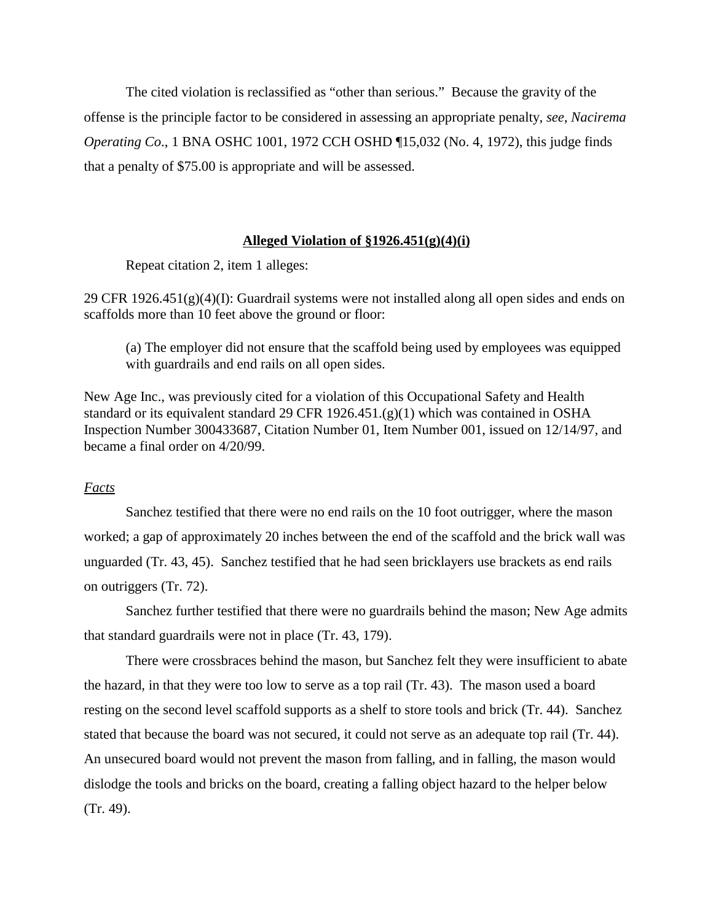The cited violation is reclassified as "other than serious." Because the gravity of the offense is the principle factor to be considered in assessing an appropriate penalty, *see, Nacirema Operating Co.*, 1 BNA OSHC 1001, 1972 CCH OSHD ¶15,032 (No. 4, 1972), this judge finds that a penalty of \$75.00 is appropriate and will be assessed.

## **Alleged Violation of §1926.451(g)(4)(i)**

Repeat citation 2, item 1 alleges:

29 CFR 1926.451(g)(4)(I): Guardrail systems were not installed along all open sides and ends on scaffolds more than 10 feet above the ground or floor:

(a) The employer did not ensure that the scaffold being used by employees was equipped with guardrails and end rails on all open sides.

New Age Inc., was previously cited for a violation of this Occupational Safety and Health standard or its equivalent standard 29 CFR 1926.451.(g)(1) which was contained in OSHA Inspection Number 300433687, Citation Number 01, Item Number 001, issued on 12/14/97, and became a final order on 4/20/99.

## *Facts*

Sanchez testified that there were no end rails on the 10 foot outrigger, where the mason worked; a gap of approximately 20 inches between the end of the scaffold and the brick wall was unguarded (Tr. 43, 45). Sanchez testified that he had seen bricklayers use brackets as end rails on outriggers (Tr. 72).

Sanchez further testified that there were no guardrails behind the mason; New Age admits that standard guardrails were not in place (Tr. 43, 179).

There were crossbraces behind the mason, but Sanchez felt they were insufficient to abate the hazard, in that they were too low to serve as a top rail (Tr. 43). The mason used a board resting on the second level scaffold supports as a shelf to store tools and brick (Tr. 44). Sanchez stated that because the board was not secured, it could not serve as an adequate top rail (Tr. 44). An unsecured board would not prevent the mason from falling, and in falling, the mason would dislodge the tools and bricks on the board, creating a falling object hazard to the helper below (Tr. 49).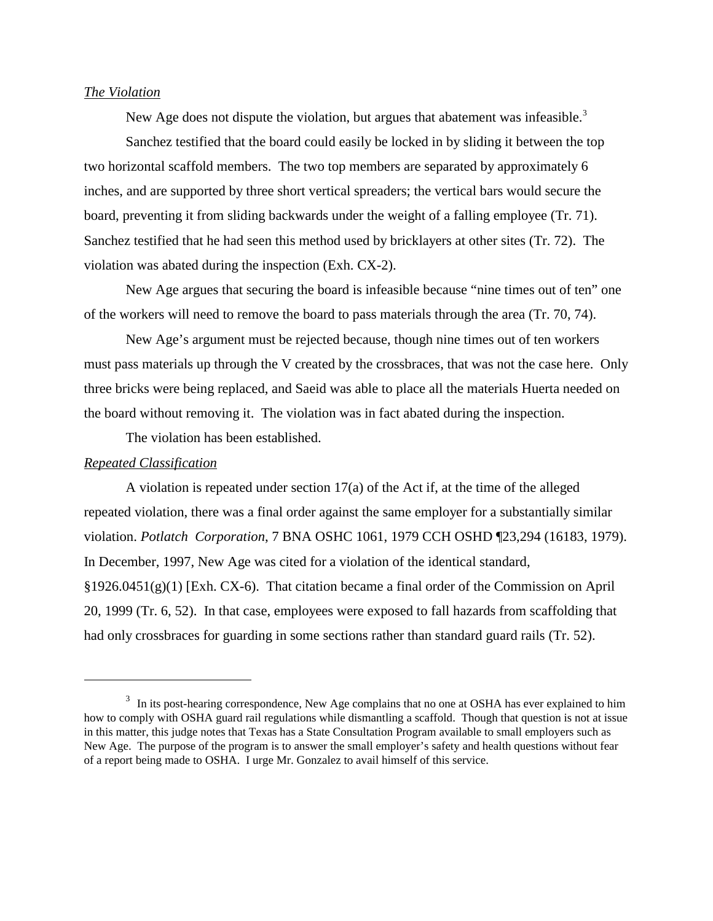#### *The Violation*

New Age does not dispute the violation, but argues that abatement was infeasible.<sup>3</sup>

 Sanchez testified that the board could easily be locked in by sliding it between the top two horizontal scaffold members. The two top members are separated by approximately 6 inches, and are supported by three short vertical spreaders; the vertical bars would secure the board, preventing it from sliding backwards under the weight of a falling employee (Tr. 71). Sanchez testified that he had seen this method used by bricklayers at other sites (Tr. 72). The violation was abated during the inspection (Exh. CX-2).

New Age argues that securing the board is infeasible because "nine times out of ten" one of the workers will need to remove the board to pass materials through the area (Tr. 70, 74).

New Age's argument must be rejected because, though nine times out of ten workers must pass materials up through the V created by the crossbraces, that was not the case here. Only three bricks were being replaced, and Saeid was able to place all the materials Huerta needed on the board without removing it. The violation was in fact abated during the inspection.

The violation has been established.

#### *Repeated Classification*

A violation is repeated under section 17(a) of the Act if, at the time of the alleged repeated violation, there was a final order against the same employer for a substantially similar violation. *Potlatch Corporation*, 7 BNA OSHC 1061, 1979 CCH OSHD ¶23,294 (16183, 1979). In December, 1997, New Age was cited for a violation of the identical standard, §1926.0451(g)(1) [Exh. CX-6). That citation became a final order of the Commission on April 20, 1999 (Tr. 6, 52). In that case, employees were exposed to fall hazards from scaffolding that had only crossbraces for guarding in some sections rather than standard guard rails (Tr. 52).

<sup>&</sup>lt;sup>3</sup> In its post-hearing correspondence, New Age complains that no one at OSHA has ever explained to him how to comply with OSHA guard rail regulations while dismantling a scaffold. Though that question is not at issue in this matter, this judge notes that Texas has a State Consultation Program available to small employers such as New Age. The purpose of the program is to answer the small employer's safety and health questions without fear of a report being made to OSHA. I urge Mr. Gonzalez to avail himself of this service.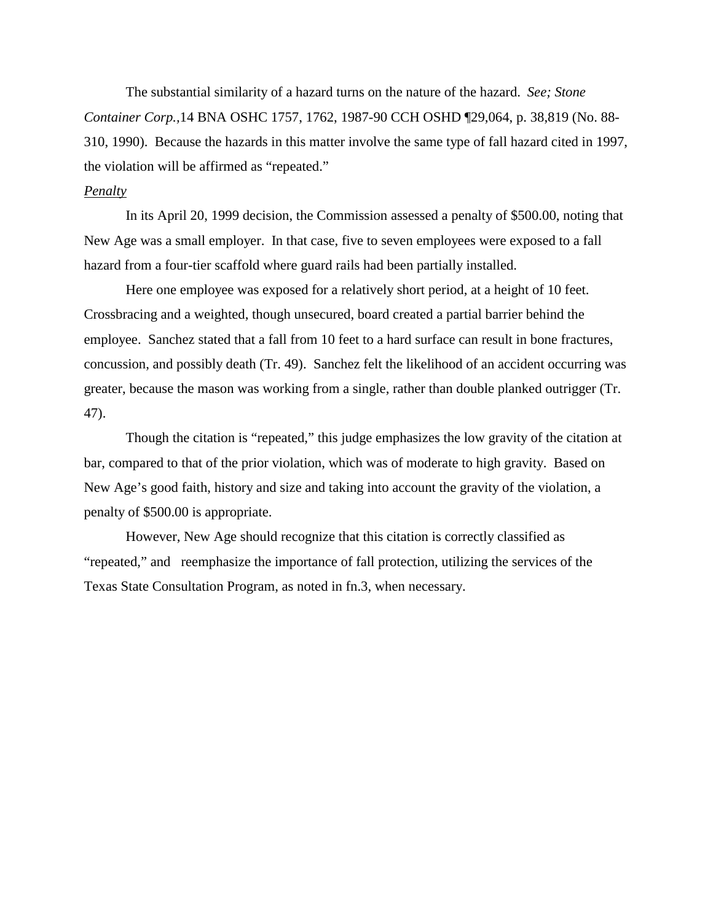The substantial similarity of a hazard turns on the nature of the hazard. *See; Stone Container Corp.,*14 BNA OSHC 1757, 1762, 1987-90 CCH OSHD ¶29,064, p. 38,819 (No. 88- 310, 1990). Because the hazards in this matter involve the same type of fall hazard cited in 1997, the violation will be affirmed as "repeated."

# *Penalty*

In its April 20, 1999 decision, the Commission assessed a penalty of \$500.00, noting that New Age was a small employer. In that case, five to seven employees were exposed to a fall hazard from a four-tier scaffold where guard rails had been partially installed.

Here one employee was exposed for a relatively short period, at a height of 10 feet. Crossbracing and a weighted, though unsecured, board created a partial barrier behind the employee. Sanchez stated that a fall from 10 feet to a hard surface can result in bone fractures, concussion, and possibly death (Tr. 49). Sanchez felt the likelihood of an accident occurring was greater, because the mason was working from a single, rather than double planked outrigger (Tr. 47).

Though the citation is "repeated," this judge emphasizes the low gravity of the citation at bar, compared to that of the prior violation, which was of moderate to high gravity. Based on New Age's good faith, history and size and taking into account the gravity of the violation, a penalty of \$500.00 is appropriate.

However, New Age should recognize that this citation is correctly classified as "repeated," and reemphasize the importance of fall protection, utilizing the services of the Texas State Consultation Program, as noted in fn.3, when necessary.